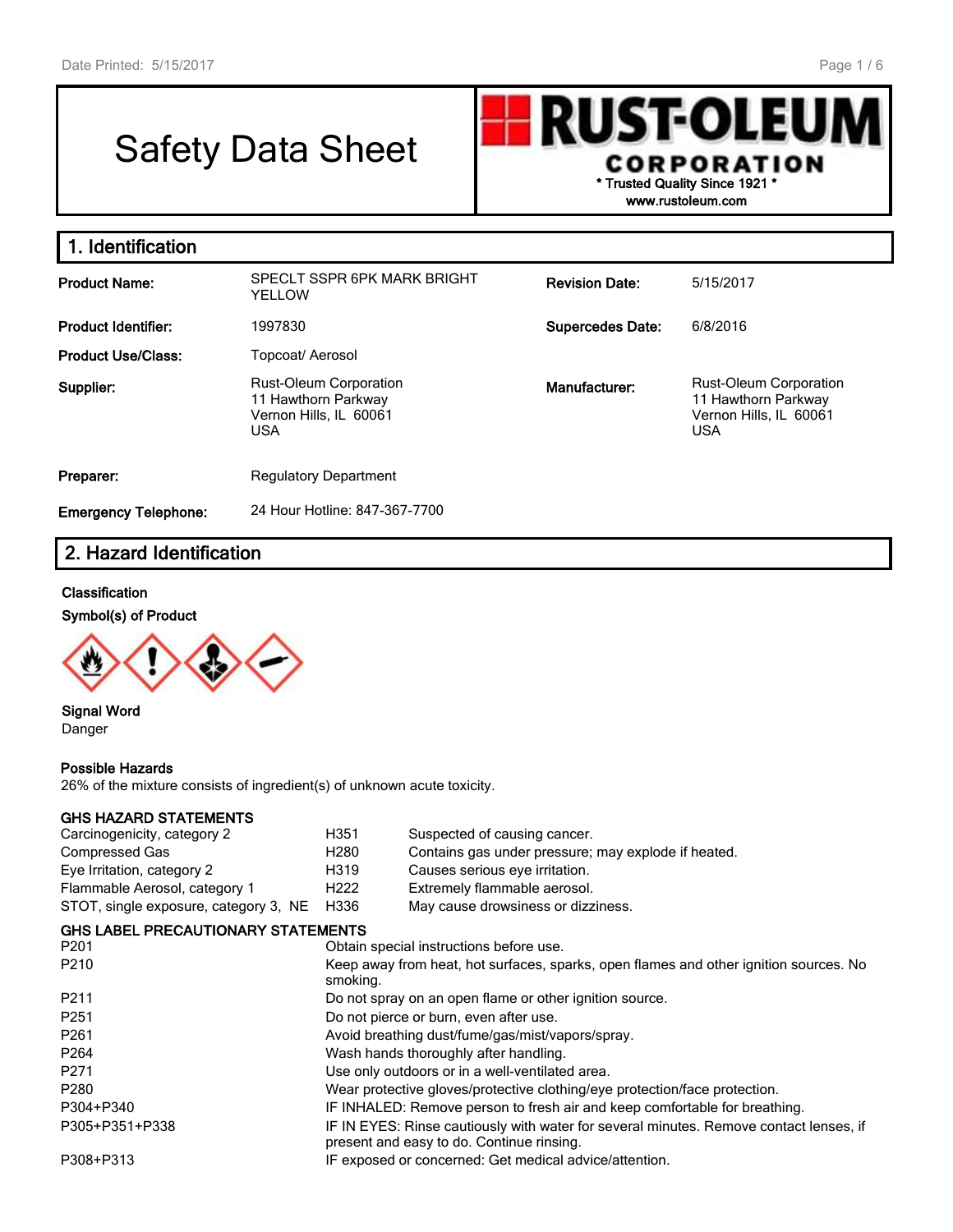# Safety Data Sheet



**1. Identification Product Name:** SPECLT SSPR 6PK MARK BRIGHT YELLOW **Revision Date:** 5/15/2017 **Product Identifier:** 1997830 **Supercedes Date:** 6/8/2016 **Product Use/Class:** Topcoat/ Aerosol **Supplier:** Rust-Oleum Corporation 11 Hawthorn Parkway Vernon Hills, IL 60061 USA **Manufacturer:** Rust-Oleum Corporation 11 Hawthorn Parkway Vernon Hills, IL 60061 USA **Preparer:** Regulatory Department **Emergency Telephone:** 24 Hour Hotline: 847-367-7700

# **2. Hazard Identification**

## **Classification**

#### **Symbol(s) of Product**



**Signal Word** Danger

## **Possible Hazards**

26% of the mixture consists of ingredient(s) of unknown acute toxicity.

## **GHS HAZARD STATEMENTS**

| Carcinogenicity, category 2               | H351             | Suspected of causing cancer.                                                                                                        |
|-------------------------------------------|------------------|-------------------------------------------------------------------------------------------------------------------------------------|
| Compressed Gas                            | H <sub>280</sub> | Contains gas under pressure; may explode if heated.                                                                                 |
| Eye Irritation, category 2                | H319             | Causes serious eye irritation.                                                                                                      |
| Flammable Aerosol, category 1             | H <sub>222</sub> | Extremely flammable aerosol.                                                                                                        |
| STOT, single exposure, category 3, NE     | H336             | May cause drowsiness or dizziness.                                                                                                  |
| <b>GHS LABEL PRECAUTIONARY STATEMENTS</b> |                  |                                                                                                                                     |
| P <sub>201</sub>                          |                  | Obtain special instructions before use.                                                                                             |
| P <sub>210</sub>                          | smoking.         | Keep away from heat, hot surfaces, sparks, open flames and other ignition sources. No                                               |
| P <sub>2</sub> 11                         |                  | Do not spray on an open flame or other ignition source.                                                                             |
| P <sub>251</sub>                          |                  | Do not pierce or burn, even after use.                                                                                              |
| P <sub>261</sub>                          |                  | Avoid breathing dust/fume/gas/mist/vapors/spray.                                                                                    |
| P <sub>264</sub>                          |                  | Wash hands thoroughly after handling.                                                                                               |
| P <sub>271</sub>                          |                  | Use only outdoors or in a well-ventilated area.                                                                                     |
| P <sub>280</sub>                          |                  | Wear protective gloves/protective clothing/eye protection/face protection.                                                          |
| P304+P340                                 |                  | IF INHALED: Remove person to fresh air and keep comfortable for breathing.                                                          |
| P305+P351+P338                            |                  | IF IN EYES: Rinse cautiously with water for several minutes. Remove contact lenses, if<br>present and easy to do. Continue rinsing. |
| P308+P313                                 |                  | IF exposed or concerned: Get medical advice/attention.                                                                              |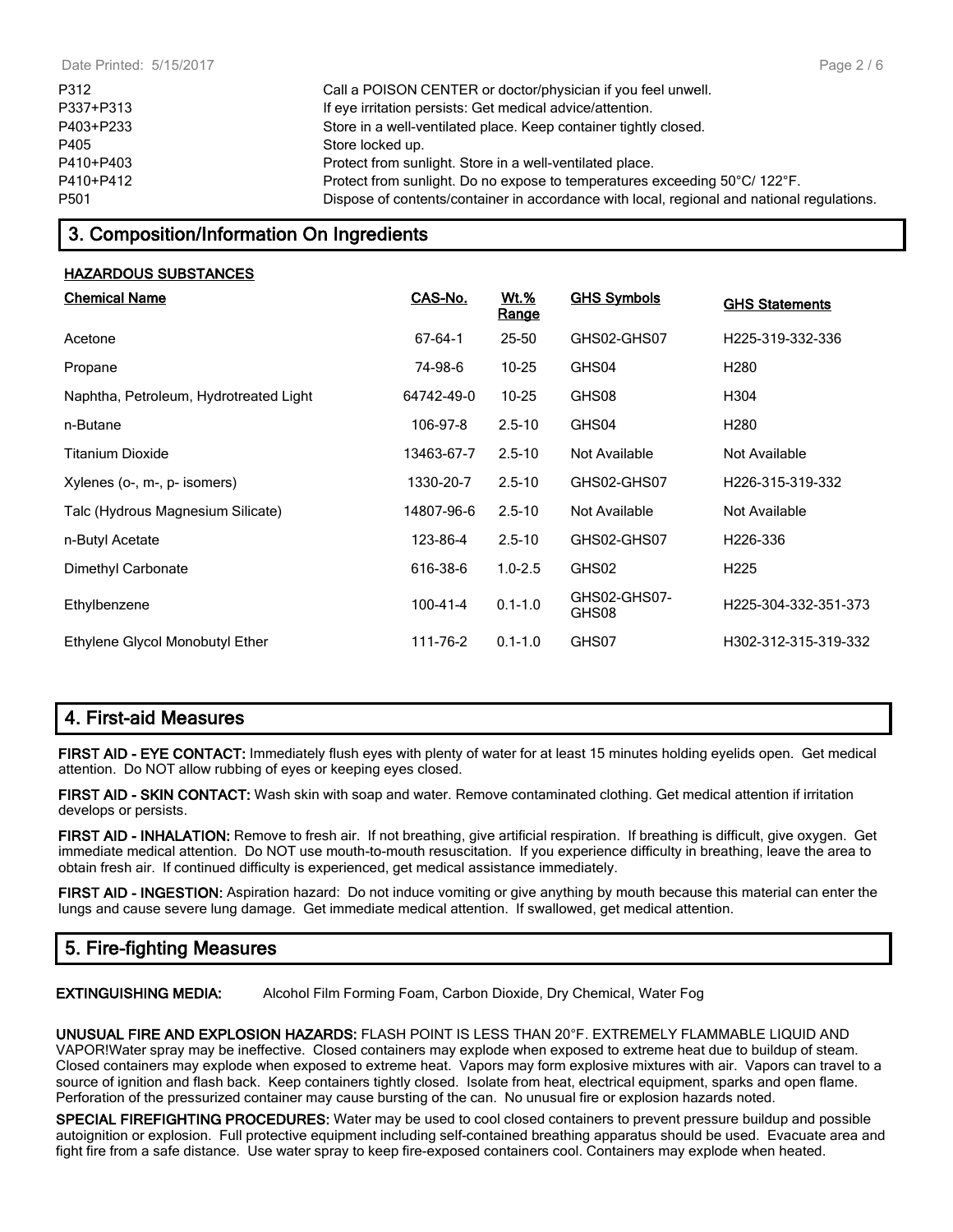| P312      | Call a POISON CENTER or doctor/physician if you feel unwell.                               |
|-----------|--------------------------------------------------------------------------------------------|
| P337+P313 | If eye irritation persists: Get medical advice/attention.                                  |
| P403+P233 | Store in a well-ventilated place. Keep container tightly closed.                           |
| P405      | Store locked up.                                                                           |
| P410+P403 | Protect from sunlight. Store in a well-ventilated place.                                   |
| P410+P412 | Protect from sunlight. Do no expose to temperatures exceeding 50°C/ 122°F.                 |
| P501      | Dispose of contents/container in accordance with local, regional and national regulations. |

# **3. Composition/Information On Ingredients**

## **HAZARDOUS SUBSTANCES**

| <b>Chemical Name</b>                   | CAS-No.        | <u>Wt.%</u><br>Range | <b>GHS Symbols</b>    | <b>GHS Statements</b> |
|----------------------------------------|----------------|----------------------|-----------------------|-----------------------|
| Acetone                                | $67 - 64 - 1$  | 25-50                | GHS02-GHS07           | H225-319-332-336      |
| Propane                                | 74-98-6        | $10 - 25$            | GHS04                 | H <sub>280</sub>      |
| Naphtha, Petroleum, Hydrotreated Light | 64742-49-0     | $10 - 25$            | GHS08                 | H304                  |
| n-Butane                               | 106-97-8       | $2.5 - 10$           | GHS04                 | H <sub>280</sub>      |
| Titanium Dioxide                       | 13463-67-7     | $2.5 - 10$           | Not Available         | Not Available         |
| Xylenes (o-, m-, p- isomers)           | 1330-20-7      | $2.5 - 10$           | GHS02-GHS07           | H226-315-319-332      |
| Talc (Hydrous Magnesium Silicate)      | 14807-96-6     | $2.5 - 10$           | Not Available         | Not Available         |
| n-Butyl Acetate                        | 123-86-4       | $2.5 - 10$           | GHS02-GHS07           | H226-336              |
| Dimethyl Carbonate                     | 616-38-6       | $1.0 - 2.5$          | GHS02                 | H <sub>225</sub>      |
| Ethylbenzene                           | $100 - 41 - 4$ | $0.1 - 1.0$          | GHS02-GHS07-<br>GHS08 | H225-304-332-351-373  |
| Ethylene Glycol Monobutyl Ether        | 111-76-2       | $0.1 - 1.0$          | GHS07                 | H302-312-315-319-332  |

## **4. First-aid Measures**

**FIRST AID - EYE CONTACT:** Immediately flush eyes with plenty of water for at least 15 minutes holding eyelids open. Get medical attention. Do NOT allow rubbing of eyes or keeping eyes closed.

**FIRST AID - SKIN CONTACT:** Wash skin with soap and water. Remove contaminated clothing. Get medical attention if irritation develops or persists.

**FIRST AID - INHALATION:** Remove to fresh air. If not breathing, give artificial respiration. If breathing is difficult, give oxygen. Get immediate medical attention. Do NOT use mouth-to-mouth resuscitation. If you experience difficulty in breathing, leave the area to obtain fresh air. If continued difficulty is experienced, get medical assistance immediately.

**FIRST AID - INGESTION:** Aspiration hazard: Do not induce vomiting or give anything by mouth because this material can enter the lungs and cause severe lung damage. Get immediate medical attention. If swallowed, get medical attention.

# **5. Fire-fighting Measures**

**EXTINGUISHING MEDIA:** Alcohol Film Forming Foam, Carbon Dioxide, Dry Chemical, Water Fog

**UNUSUAL FIRE AND EXPLOSION HAZARDS:** FLASH POINT IS LESS THAN 20°F. EXTREMELY FLAMMABLE LIQUID AND VAPOR!Water spray may be ineffective. Closed containers may explode when exposed to extreme heat due to buildup of steam. Closed containers may explode when exposed to extreme heat. Vapors may form explosive mixtures with air. Vapors can travel to a source of ignition and flash back. Keep containers tightly closed. Isolate from heat, electrical equipment, sparks and open flame. Perforation of the pressurized container may cause bursting of the can. No unusual fire or explosion hazards noted.

**SPECIAL FIREFIGHTING PROCEDURES:** Water may be used to cool closed containers to prevent pressure buildup and possible autoignition or explosion. Full protective equipment including self-contained breathing apparatus should be used. Evacuate area and fight fire from a safe distance. Use water spray to keep fire-exposed containers cool. Containers may explode when heated.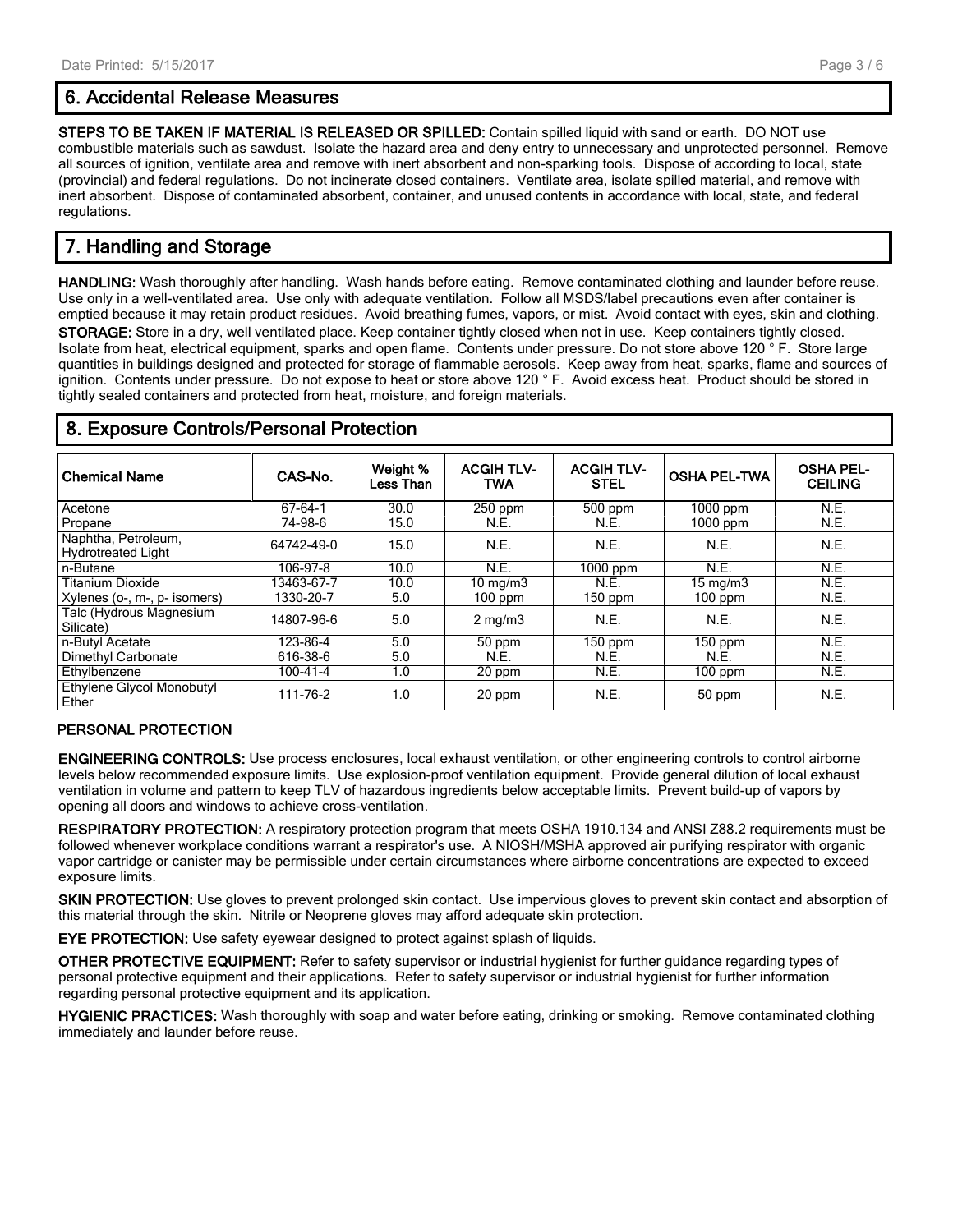## **6. Accidental Release Measures**

**STEPS TO BE TAKEN IF MATERIAL IS RELEASED OR SPILLED:** Contain spilled liquid with sand or earth. DO NOT use combustible materials such as sawdust. Isolate the hazard area and deny entry to unnecessary and unprotected personnel. Remove all sources of ignition, ventilate area and remove with inert absorbent and non-sparking tools. Dispose of according to local, state (provincial) and federal regulations. Do not incinerate closed containers. Ventilate area, isolate spilled material, and remove with inert absorbent. Dispose of contaminated absorbent, container, and unused contents in accordance with local, state, and federal regulations.

# **7. Handling and Storage**

**HANDLING:** Wash thoroughly after handling. Wash hands before eating. Remove contaminated clothing and launder before reuse. Use only in a well-ventilated area. Use only with adequate ventilation. Follow all MSDS/label precautions even after container is emptied because it may retain product residues. Avoid breathing fumes, vapors, or mist. Avoid contact with eyes, skin and clothing. **STORAGE:** Store in a dry, well ventilated place. Keep container tightly closed when not in use. Keep containers tightly closed. Isolate from heat, electrical equipment, sparks and open flame. Contents under pressure. Do not store above 120 ° F. Store large quantities in buildings designed and protected for storage of flammable aerosols. Keep away from heat, sparks, flame and sources of ignition. Contents under pressure. Do not expose to heat or store above 120 ° F. Avoid excess heat. Product should be stored in tightly sealed containers and protected from heat, moisture, and foreign materials.

## **8. Exposure Controls/Personal Protection**

| <b>Chemical Name</b>                             | CAS-No.        | Weight %<br>Less Than | <b>ACGIH TLV-</b><br><b>TWA</b> | <b>ACGIH TLV-</b><br><b>STEL</b> | <b>OSHA PEL-TWA</b> | <b>OSHA PEL-</b><br><b>CEILING</b> |
|--------------------------------------------------|----------------|-----------------------|---------------------------------|----------------------------------|---------------------|------------------------------------|
| Acetone                                          | 67-64-1        | 30.0                  | 250 ppm                         | 500 ppm                          | 1000 ppm            | N.E.                               |
| Propane                                          | 74-98-6        | 15.0                  | N.E.                            | N.E.                             | 1000 ppm            | N.E.                               |
| Naphtha, Petroleum,<br><b>Hydrotreated Light</b> | 64742-49-0     | 15.0                  | N.E.                            | N.E.                             | N.E.                | N.E.                               |
| n-Butane                                         | 106-97-8       | 10.0                  | N.E.                            | $1000$ ppm                       | N.E.                | N.E.                               |
| <b>Titanium Dioxide</b>                          | 13463-67-7     | 10.0                  | 10 $mq/m3$                      | N.E.                             | $15 \text{ mg/m}$   | N.E.                               |
| Xylenes (o-, m-, p- isomers)                     | 1330-20-7      | 5.0                   | $100$ ppm                       | $150$ ppm                        | $100$ ppm           | N.E.                               |
| Talc (Hydrous Magnesium<br>Silicate)             | 14807-96-6     | 5.0                   | $2 \text{ mg/m}$                | N.E.                             | N.E.                | N.E.                               |
| n-Butyl Acetate                                  | 123-86-4       | 5.0                   | 50 ppm                          | $150$ ppm                        | $150$ ppm           | N.E.                               |
| Dimethyl Carbonate                               | 616-38-6       | 5.0                   | N.E.                            | N.E.                             | N.E.                | N.E.                               |
| Ethylbenzene                                     | $100 - 41 - 4$ | 1.0                   | 20 ppm                          | N.E.                             | $100$ ppm           | N.E.                               |
| Ethylene Glycol Monobutyl<br>Ether               | 111-76-2       | 1.0                   | 20 ppm                          | N.E.                             | 50 ppm              | N.E.                               |

## **PERSONAL PROTECTION**

**ENGINEERING CONTROLS:** Use process enclosures, local exhaust ventilation, or other engineering controls to control airborne levels below recommended exposure limits. Use explosion-proof ventilation equipment. Provide general dilution of local exhaust ventilation in volume and pattern to keep TLV of hazardous ingredients below acceptable limits. Prevent build-up of vapors by opening all doors and windows to achieve cross-ventilation.

**RESPIRATORY PROTECTION:** A respiratory protection program that meets OSHA 1910.134 and ANSI Z88.2 requirements must be followed whenever workplace conditions warrant a respirator's use. A NIOSH/MSHA approved air purifying respirator with organic vapor cartridge or canister may be permissible under certain circumstances where airborne concentrations are expected to exceed exposure limits.

**SKIN PROTECTION:** Use gloves to prevent prolonged skin contact. Use impervious gloves to prevent skin contact and absorption of this material through the skin. Nitrile or Neoprene gloves may afford adequate skin protection.

**EYE PROTECTION:** Use safety eyewear designed to protect against splash of liquids.

**OTHER PROTECTIVE EQUIPMENT:** Refer to safety supervisor or industrial hygienist for further guidance regarding types of personal protective equipment and their applications. Refer to safety supervisor or industrial hygienist for further information regarding personal protective equipment and its application.

**HYGIENIC PRACTICES:** Wash thoroughly with soap and water before eating, drinking or smoking. Remove contaminated clothing immediately and launder before reuse.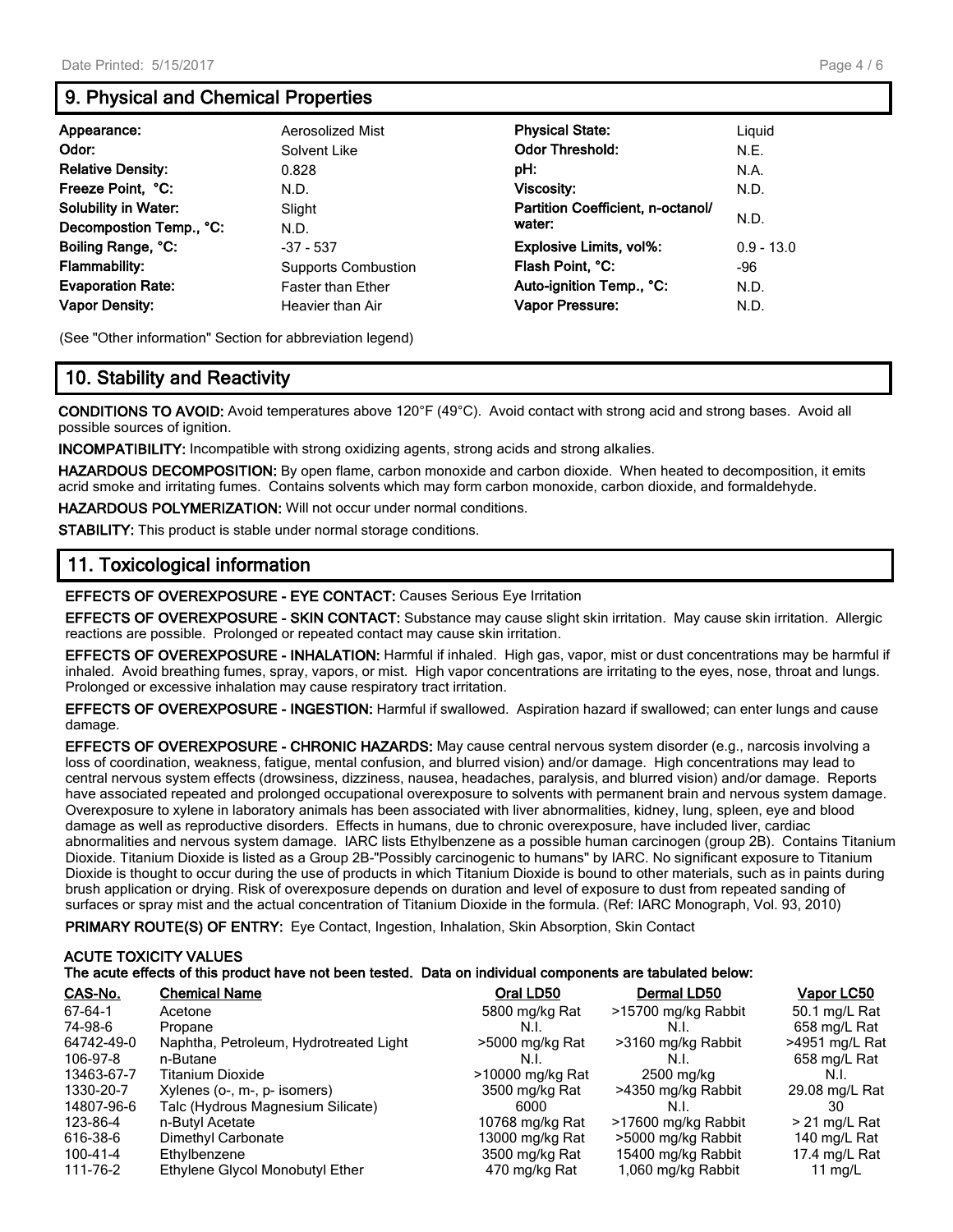# **9. Physical and Chemical Properties**

| Appearance:                 | Aerosolized Mist           | <b>Physical State:</b>            | Liguid       |
|-----------------------------|----------------------------|-----------------------------------|--------------|
| Odor:                       | Solvent Like               | <b>Odor Threshold:</b>            | N.E.         |
| <b>Relative Density:</b>    | 0.828                      | pH:                               | N.A.         |
| Freeze Point, °C:           | N.D.                       | Viscosity:                        | N.D.         |
| <b>Solubility in Water:</b> | Slight                     | Partition Coefficient, n-octanol/ |              |
| Decompostion Temp., °C:     | N.D.                       | water:                            | N.D.         |
| Boiling Range, °C:          | $-37 - 537$                | <b>Explosive Limits, vol%:</b>    | $0.9 - 13.0$ |
| <b>Flammability:</b>        | <b>Supports Combustion</b> | Flash Point, °C:                  | -96          |
| <b>Evaporation Rate:</b>    | <b>Faster than Ether</b>   | Auto-ignition Temp., °C:          | N.D.         |
| <b>Vapor Density:</b>       | Heavier than Air           | <b>Vapor Pressure:</b>            | N.D.         |

(See "Other information" Section for abbreviation legend)

# **10. Stability and Reactivity**

**CONDITIONS TO AVOID:** Avoid temperatures above 120°F (49°C). Avoid contact with strong acid and strong bases. Avoid all possible sources of ignition.

**INCOMPATIBILITY:** Incompatible with strong oxidizing agents, strong acids and strong alkalies.

**HAZARDOUS DECOMPOSITION:** By open flame, carbon monoxide and carbon dioxide. When heated to decomposition, it emits acrid smoke and irritating fumes. Contains solvents which may form carbon monoxide, carbon dioxide, and formaldehyde.

**HAZARDOUS POLYMERIZATION:** Will not occur under normal conditions.

**STABILITY:** This product is stable under normal storage conditions.

## **11. Toxicological information**

**EFFECTS OF OVEREXPOSURE - EYE CONTACT:** Causes Serious Eye Irritation

**EFFECTS OF OVEREXPOSURE - SKIN CONTACT:** Substance may cause slight skin irritation. May cause skin irritation. Allergic reactions are possible. Prolonged or repeated contact may cause skin irritation.

**EFFECTS OF OVEREXPOSURE - INHALATION:** Harmful if inhaled. High gas, vapor, mist or dust concentrations may be harmful if inhaled. Avoid breathing fumes, spray, vapors, or mist. High vapor concentrations are irritating to the eyes, nose, throat and lungs. Prolonged or excessive inhalation may cause respiratory tract irritation.

**EFFECTS OF OVEREXPOSURE - INGESTION:** Harmful if swallowed. Aspiration hazard if swallowed; can enter lungs and cause damage.

**EFFECTS OF OVEREXPOSURE - CHRONIC HAZARDS:** May cause central nervous system disorder (e.g., narcosis involving a loss of coordination, weakness, fatigue, mental confusion, and blurred vision) and/or damage. High concentrations may lead to central nervous system effects (drowsiness, dizziness, nausea, headaches, paralysis, and blurred vision) and/or damage. Reports have associated repeated and prolonged occupational overexposure to solvents with permanent brain and nervous system damage. Overexposure to xylene in laboratory animals has been associated with liver abnormalities, kidney, lung, spleen, eye and blood damage as well as reproductive disorders. Effects in humans, due to chronic overexposure, have included liver, cardiac abnormalities and nervous system damage. IARC lists Ethylbenzene as a possible human carcinogen (group 2B). Contains Titanium Dioxide. Titanium Dioxide is listed as a Group 2B-"Possibly carcinogenic to humans" by IARC. No significant exposure to Titanium Dioxide is thought to occur during the use of products in which Titanium Dioxide is bound to other materials, such as in paints during brush application or drying. Risk of overexposure depends on duration and level of exposure to dust from repeated sanding of surfaces or spray mist and the actual concentration of Titanium Dioxide in the formula. (Ref: IARC Monograph, Vol. 93, 2010)

**PRIMARY ROUTE(S) OF ENTRY:** Eye Contact, Ingestion, Inhalation, Skin Absorption, Skin Contact

## **ACUTE TOXICITY VALUES The acute effects of this product have not been tested. Data on individual components are tabulated below:**

| CAS-No.    | <b>Chemical Name</b>                   | Oral LD50        | Dermal LD50         | Vapor LC50     |
|------------|----------------------------------------|------------------|---------------------|----------------|
| 67-64-1    | Acetone                                | 5800 mg/kg Rat   | >15700 mg/kg Rabbit | 50.1 mg/L Rat  |
| 74-98-6    | Propane                                | N.I.             | N.I.                | 658 mg/L Rat   |
| 64742-49-0 | Naphtha, Petroleum, Hydrotreated Light | >5000 mg/kg Rat  | >3160 mg/kg Rabbit  | >4951 mg/L Rat |
| 106-97-8   | n-Butane                               | N.I.             | N.L                 | 658 mg/L Rat   |
| 13463-67-7 | <b>Titanium Dioxide</b>                | >10000 mg/kg Rat | 2500 mg/kg          | N.I.           |
| 1330-20-7  | Xylenes (o-, m-, p- isomers)           | 3500 mg/kg Rat   | >4350 mg/kg Rabbit  | 29.08 mg/L Rat |
| 14807-96-6 | Talc (Hydrous Magnesium Silicate)      | 6000             | N.I                 | 30             |
| 123-86-4   | n-Butyl Acetate                        | 10768 mg/kg Rat  | >17600 mg/kg Rabbit | > 21 mg/L Rat  |
| 616-38-6   | Dimethyl Carbonate                     | 13000 mg/kg Rat  | >5000 mg/kg Rabbit  | 140 mg/L Rat   |
| 100-41-4   | Ethylbenzene                           | 3500 mg/kg Rat   | 15400 mg/kg Rabbit  | 17.4 mg/L Rat  |
| 111-76-2   | Ethylene Glycol Monobutyl Ether        | 470 mg/kg Rat    | 1,060 mg/kg Rabbit  | 11 mg/L        |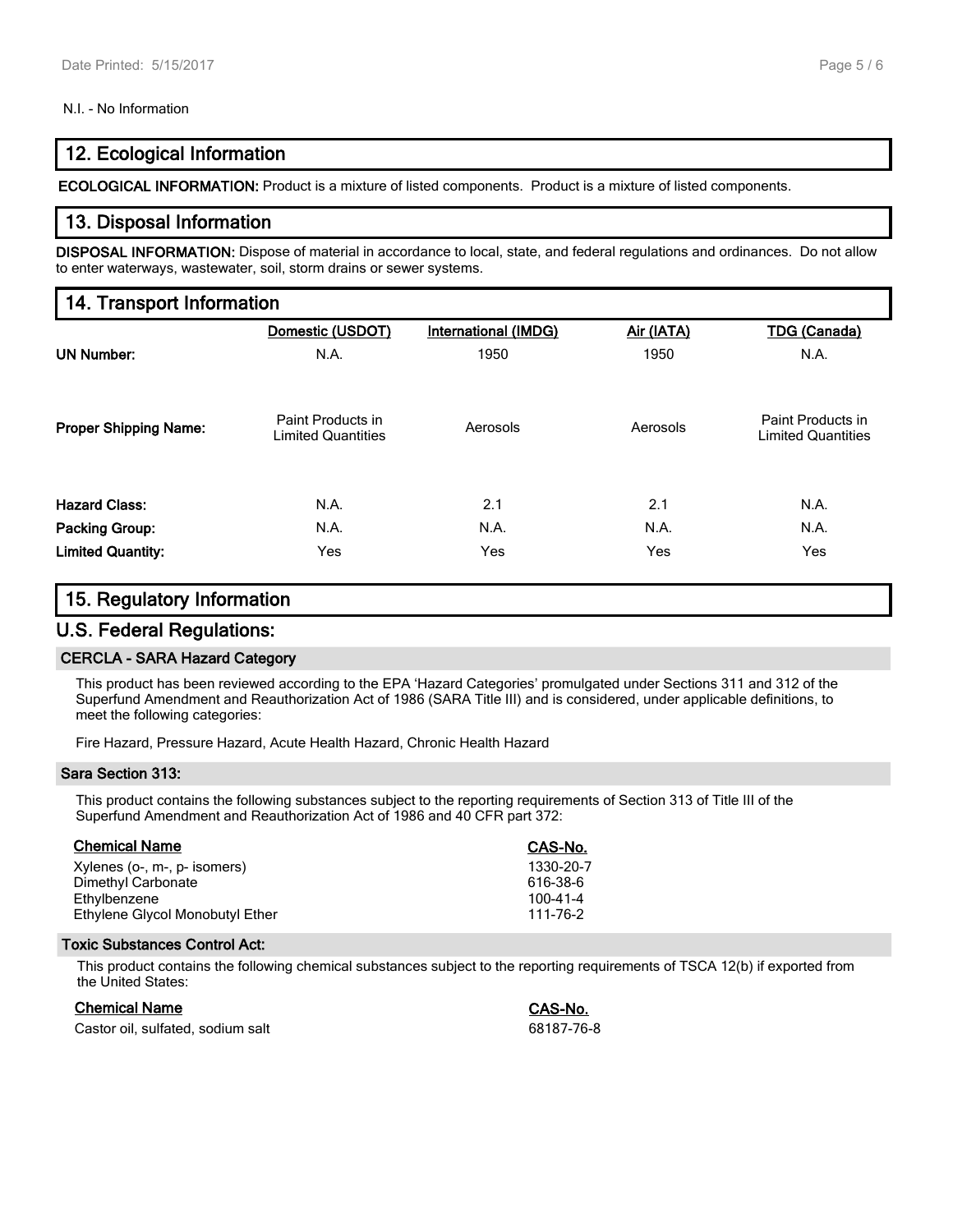#### N.I. - No Information

## **12. Ecological Information**

**ECOLOGICAL INFORMATION:** Product is a mixture of listed components. Product is a mixture of listed components.

## **13. Disposal Information**

**DISPOSAL INFORMATION:** Dispose of material in accordance to local, state, and federal regulations and ordinances. Do not allow to enter waterways, wastewater, soil, storm drains or sewer systems.

## **14. Transport Information**

|                              | Domestic (USDOT)                               | <b>International (IMDG)</b> | Air (IATA) | <b>TDG (Canada)</b>                            |
|------------------------------|------------------------------------------------|-----------------------------|------------|------------------------------------------------|
| <b>UN Number:</b>            | N.A.                                           | 1950                        | 1950       | N.A.                                           |
| <b>Proper Shipping Name:</b> | Paint Products in<br><b>Limited Quantities</b> | Aerosols                    | Aerosols   | Paint Products in<br><b>Limited Quantities</b> |
| <b>Hazard Class:</b>         | N.A.                                           | 2.1                         | 2.1        | N.A.                                           |
| Packing Group:               | N.A.                                           | N.A.                        | N.A.       | N.A.                                           |
| <b>Limited Quantity:</b>     | Yes                                            | Yes                         | Yes        | Yes                                            |

## **15. Regulatory Information**

## **U.S. Federal Regulations:**

#### **CERCLA - SARA Hazard Category**

This product has been reviewed according to the EPA 'Hazard Categories' promulgated under Sections 311 and 312 of the Superfund Amendment and Reauthorization Act of 1986 (SARA Title III) and is considered, under applicable definitions, to meet the following categories:

Fire Hazard, Pressure Hazard, Acute Health Hazard, Chronic Health Hazard

#### **Sara Section 313:**

This product contains the following substances subject to the reporting requirements of Section 313 of Title III of the Superfund Amendment and Reauthorization Act of 1986 and 40 CFR part 372:

| <b>Chemical Name</b>            | CAS-No.   |
|---------------------------------|-----------|
| Xylenes (o-, m-, p- isomers)    | 1330-20-7 |
| Dimethyl Carbonate              | 616-38-6  |
| Ethylbenzene                    | 100-41-4  |
| Ethylene Glycol Monobutyl Ether | 111-76-2  |
|                                 |           |

#### **Toxic Substances Control Act:**

This product contains the following chemical substances subject to the reporting requirements of TSCA 12(b) if exported from the United States:

| Chemical Name                     | CAS-No.    |
|-----------------------------------|------------|
| Castor oil, sulfated, sodium salt | 68187-76-8 |